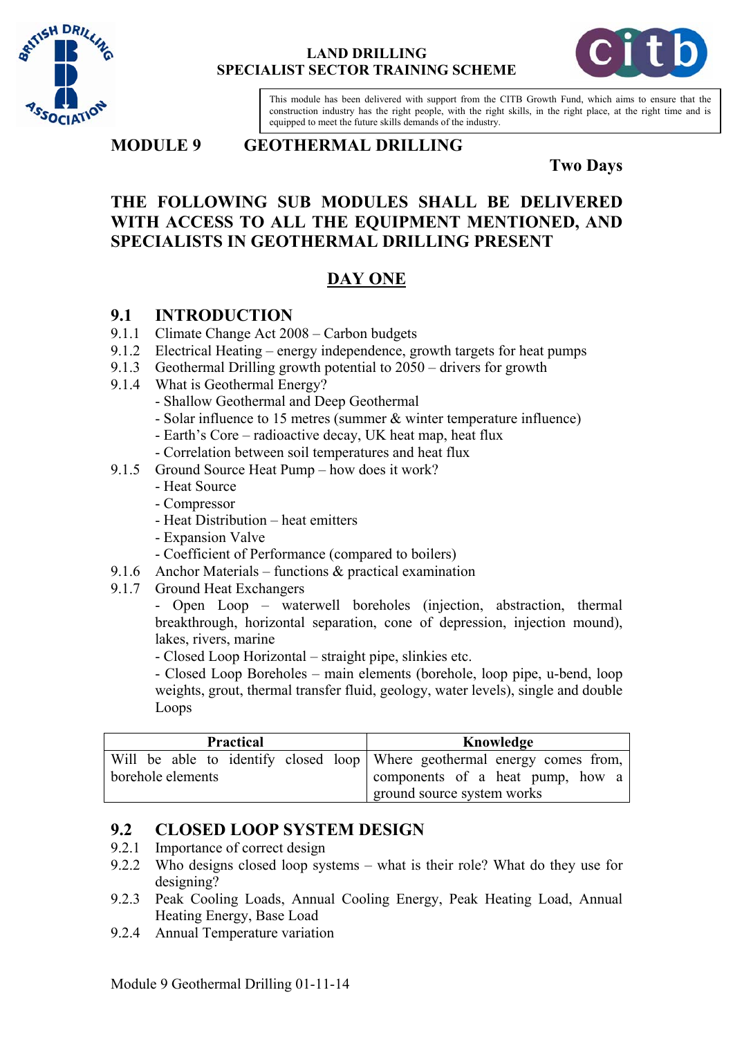



This module has been delivered with support from the CITB Growth Fund, which aims to ensure that the construction industry has the right people, with the right skills, in the right place, at the right time and is equipped to meet the future skills demands of the industry.

**MODULE 9 GEOTHERMAL DRILLING** 

### **Two Days**

## **THE FOLLOWING SUB MODULES SHALL BE DELIVERED WITH ACCESS TO ALL THE EQUIPMENT MENTIONED, AND SPECIALISTS IN GEOTHERMAL DRILLING PRESENT**

# **DAY ONE**

### **9.1 INTRODUCTION**

- 9.1.1 Climate Change Act 2008 Carbon budgets
- 9.1.2 Electrical Heating energy independence, growth targets for heat pumps
- 9.1.3 Geothermal Drilling growth potential to 2050 drivers for growth
- 9.1.4 What is Geothermal Energy?
	- Shallow Geothermal and Deep Geothermal
	- Solar influence to 15 metres (summer & winter temperature influence)
	- Earth's Core radioactive decay, UK heat map, heat flux
	- Correlation between soil temperatures and heat flux
- 9.1.5 Ground Source Heat Pump how does it work?
	- Heat Source
	- Compressor
	- Heat Distribution heat emitters
	- Expansion Valve
	- Coefficient of Performance (compared to boilers)
- 9.1.6 Anchor Materials functions & practical examination
- 9.1.7 Ground Heat Exchangers

- Open Loop – waterwell boreholes (injection, abstraction, thermal breakthrough, horizontal separation, cone of depression, injection mound), lakes, rivers, marine

- Closed Loop Horizontal – straight pipe, slinkies etc.

- Closed Loop Boreholes – main elements (borehole, loop pipe, u-bend, loop weights, grout, thermal transfer fluid, geology, water levels), single and double Loops

| <b>Practical</b>  | Knowledge                                                                                                                                  |
|-------------------|--------------------------------------------------------------------------------------------------------------------------------------------|
| borehole elements | Will be able to identify closed loop Where geothermal energy comes from,<br>components of a heat pump, how a<br>ground source system works |

## **9.2 CLOSED LOOP SYSTEM DESIGN**

- 9.2.1 Importance of correct design
- 9.2.2 Who designs closed loop systems what is their role? What do they use for designing?
- 9.2.3 Peak Cooling Loads, Annual Cooling Energy, Peak Heating Load, Annual Heating Energy, Base Load
- 9.2.4 Annual Temperature variation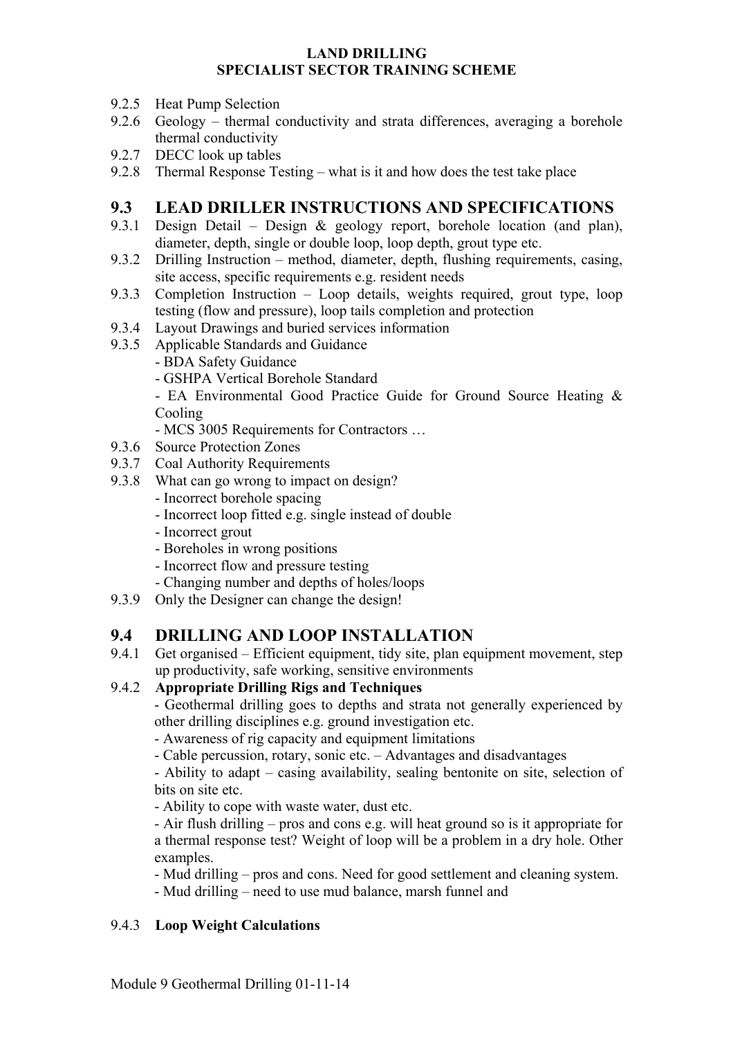- 9.2.5 Heat Pump Selection
- 9.2.6 Geology thermal conductivity and strata differences, averaging a borehole thermal conductivity
- 9.2.7 DECC look up tables
- 9.2.8 Thermal Response Testing what is it and how does the test take place

## **9.3 LEAD DRILLER INSTRUCTIONS AND SPECIFICATIONS**

- 9.3.1 Design Detail Design & geology report, borehole location (and plan), diameter, depth, single or double loop, loop depth, grout type etc.
- 9.3.2 Drilling Instruction method, diameter, depth, flushing requirements, casing, site access, specific requirements e.g. resident needs
- 9.3.3 Completion Instruction Loop details, weights required, grout type, loop testing (flow and pressure), loop tails completion and protection
- 9.3.4 Layout Drawings and buried services information
- 9.3.5 Applicable Standards and Guidance
	- BDA Safety Guidance
	- GSHPA Vertical Borehole Standard

- EA Environmental Good Practice Guide for Ground Source Heating & Cooling

- MCS 3005 Requirements for Contractors …
- 9.3.6 Source Protection Zones
- 9.3.7 Coal Authority Requirements
- 9.3.8 What can go wrong to impact on design?
	- Incorrect borehole spacing
	- Incorrect loop fitted e.g. single instead of double
	- Incorrect grout
	- Boreholes in wrong positions
	- Incorrect flow and pressure testing
	- Changing number and depths of holes/loops
- 9.3.9 Only the Designer can change the design!

## **9.4 DRILLING AND LOOP INSTALLATION**

9.4.1 Get organised – Efficient equipment, tidy site, plan equipment movement, step up productivity, safe working, sensitive environments

### 9.4.2 **Appropriate Drilling Rigs and Techniques**

- Geothermal drilling goes to depths and strata not generally experienced by other drilling disciplines e.g. ground investigation etc.

- Awareness of rig capacity and equipment limitations
- Cable percussion, rotary, sonic etc. Advantages and disadvantages

- Ability to adapt – casing availability, sealing bentonite on site, selection of bits on site etc.

- Ability to cope with waste water, dust etc.

- Air flush drilling – pros and cons e.g. will heat ground so is it appropriate for a thermal response test? Weight of loop will be a problem in a dry hole. Other examples.

- Mud drilling – pros and cons. Need for good settlement and cleaning system.

- Mud drilling – need to use mud balance, marsh funnel and

### 9.4.3 **Loop Weight Calculations**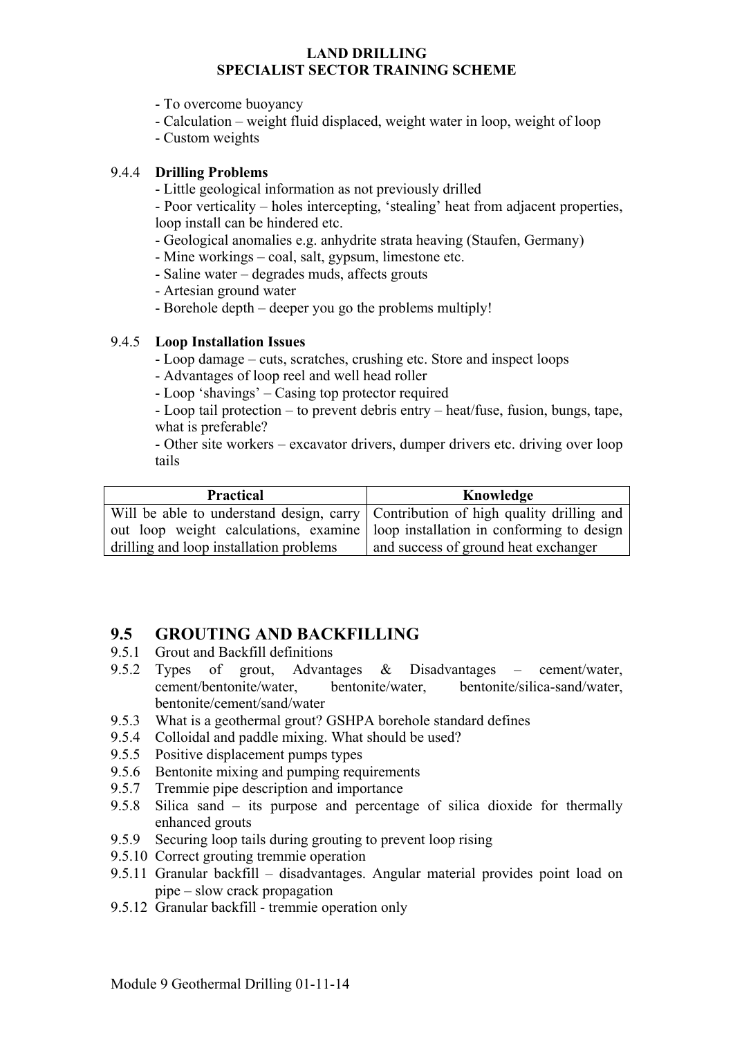- To overcome buoyancy
- Calculation weight fluid displaced, weight water in loop, weight of loop
- Custom weights

#### 9.4.4 **Drilling Problems**

- Little geological information as not previously drilled

- Poor verticality – holes intercepting, 'stealing' heat from adjacent properties, loop install can be hindered etc.

- Geological anomalies e.g. anhydrite strata heaving (Staufen, Germany)
- Mine workings coal, salt, gypsum, limestone etc.
- Saline water degrades muds, affects grouts
- Artesian ground water
- Borehole depth deeper you go the problems multiply!

#### 9.4.5 **Loop Installation Issues**

- Loop damage cuts, scratches, crushing etc. Store and inspect loops
- Advantages of loop reel and well head roller

- Loop 'shavings' – Casing top protector required

- Loop tail protection – to prevent debris entry – heat/fuse, fusion, bungs, tape, what is preferable?

- Other site workers – excavator drivers, dumper drivers etc. driving over loop tails

| <b>Practical</b>                                                                | Knowledge                                                                          |
|---------------------------------------------------------------------------------|------------------------------------------------------------------------------------|
|                                                                                 | Will be able to understand design, carry Contribution of high quality drilling and |
| out loop weight calculations, examine loop installation in conforming to design |                                                                                    |
| drilling and loop installation problems                                         | and success of ground heat exchanger                                               |

## **9.5 GROUTING AND BACKFILLING**

- 9.5.1 Grout and Backfill definitions
- 9.5.2 Types of grout, Advantages & Disadvantages cement/water, cement/bentonite/water, bentonite/water, bentonite/silica-sand/water, bentonite/cement/sand/water
- 9.5.3 What is a geothermal grout? GSHPA borehole standard defines
- 9.5.4 Colloidal and paddle mixing. What should be used?
- 9.5.5 Positive displacement pumps types
- 9.5.6 Bentonite mixing and pumping requirements
- 9.5.7 Tremmie pipe description and importance
- 9.5.8 Silica sand its purpose and percentage of silica dioxide for thermally enhanced grouts
- 9.5.9 Securing loop tails during grouting to prevent loop rising
- 9.5.10 Correct grouting tremmie operation
- 9.5.11 Granular backfill disadvantages. Angular material provides point load on pipe – slow crack propagation
- 9.5.12 Granular backfill tremmie operation only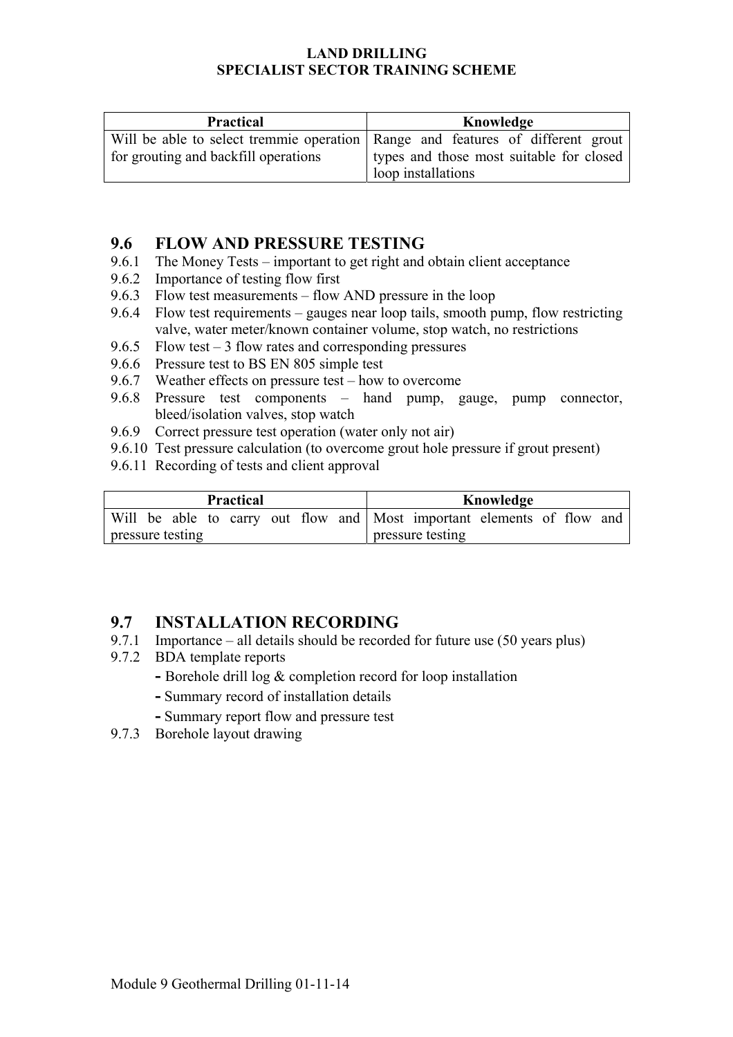| <b>Practical</b>                     | Knowledge                                                                        |
|--------------------------------------|----------------------------------------------------------------------------------|
|                                      | Will be able to select tremmie operation   Range and features of different grout |
| for grouting and backfill operations | types and those most suitable for closed                                         |
|                                      | loop installations                                                               |

### **9.6 FLOW AND PRESSURE TESTING**

- 9.6.1 The Money Tests important to get right and obtain client acceptance
- 9.6.2 Importance of testing flow first
- 9.6.3 Flow test measurements flow AND pressure in the loop
- 9.6.4 Flow test requirements gauges near loop tails, smooth pump, flow restricting valve, water meter/known container volume, stop watch, no restrictions
- 9.6.5 Flow test 3 flow rates and corresponding pressures
- 9.6.6 Pressure test to BS EN 805 simple test
- 9.6.7 Weather effects on pressure test how to overcome
- 9.6.8 Pressure test components hand pump, gauge, pump connector, bleed/isolation valves, stop watch
- 9.6.9 Correct pressure test operation (water only not air)
- 9.6.10 Test pressure calculation (to overcome grout hole pressure if grout present)
- 9.6.11 Recording of tests and client approval

| <b>Practical</b> |  |  |  |  |  |  | Knowledge                                                              |  |  |  |
|------------------|--|--|--|--|--|--|------------------------------------------------------------------------|--|--|--|
|                  |  |  |  |  |  |  | Will be able to carry out flow and Most important elements of flow and |  |  |  |
| pressure testing |  |  |  |  |  |  | pressure testing                                                       |  |  |  |

## **9.7 INSTALLATION RECORDING**

- 9.7.1 Importance all details should be recorded for future use (50 years plus)
- 9.7.2 BDA template reports
	- Borehole drill log & completion record for loop installation
	- **-** Summary record of installation details
	- **-** Summary report flow and pressure test
- 9.7.3 Borehole layout drawing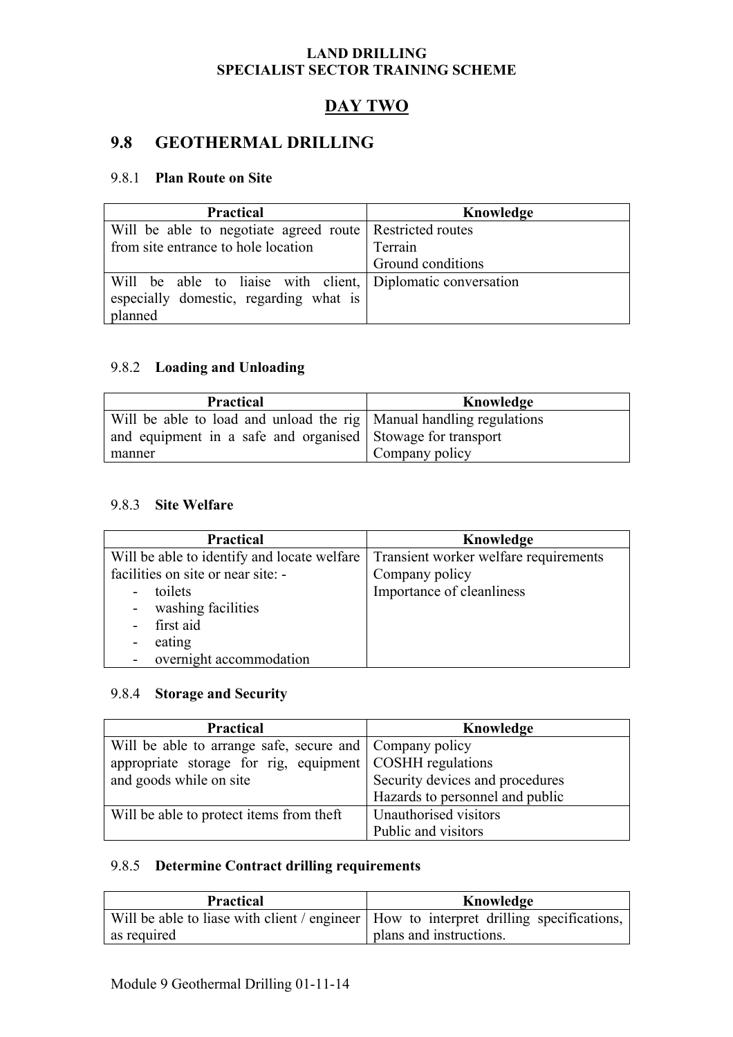# **DAY TWO**

## **9.8 GEOTHERMAL DRILLING**

#### 9.8.1 **Plan Route on Site**

| <b>Practical</b>                                            | Knowledge         |  |
|-------------------------------------------------------------|-------------------|--|
| Will be able to negotiate agreed route Restricted routes    |                   |  |
| from site entrance to hole location                         | Terrain           |  |
|                                                             | Ground conditions |  |
| Will be able to liaise with client, Diplomatic conversation |                   |  |
| especially domestic, regarding what is                      |                   |  |
| planned                                                     |                   |  |

#### 9.8.2 **Loading and Unloading**

| <b>Practical</b>                                                      | Knowledge      |
|-----------------------------------------------------------------------|----------------|
| Will be able to load and unload the rig   Manual handling regulations |                |
| and equipment in a safe and organised Stowage for transport           |                |
| manner                                                                | Company policy |

#### 9.8.3 **Site Welfare**

| <b>Practical</b>                            | Knowledge                             |
|---------------------------------------------|---------------------------------------|
| Will be able to identify and locate welfare | Transient worker welfare requirements |
| facilities on site or near site: -          | Company policy                        |
| toilets<br>$\overline{a}$                   | Importance of cleanliness             |
| - washing facilities                        |                                       |
| first aid                                   |                                       |
| eating<br>-                                 |                                       |
| overnight accommodation                     |                                       |

#### 9.8.4 **Storage and Security**

| <b>Practical</b>                                           | Knowledge                       |
|------------------------------------------------------------|---------------------------------|
| Will be able to arrange safe, secure and Company policy    |                                 |
| appropriate storage for rig, equipment   COSHH regulations |                                 |
| and goods while on site                                    | Security devices and procedures |
|                                                            | Hazards to personnel and public |
| Will be able to protect items from theft                   | Unauthorised visitors           |
|                                                            | Public and visitors             |

### 9.8.5 **Determine Contract drilling requirements**

| <b>Practical</b> | Knowledge                                                                                |  |  |
|------------------|------------------------------------------------------------------------------------------|--|--|
|                  | Will be able to liase with client / engineer   How to interpret drilling specifications, |  |  |
| as required      | I plans and instructions.                                                                |  |  |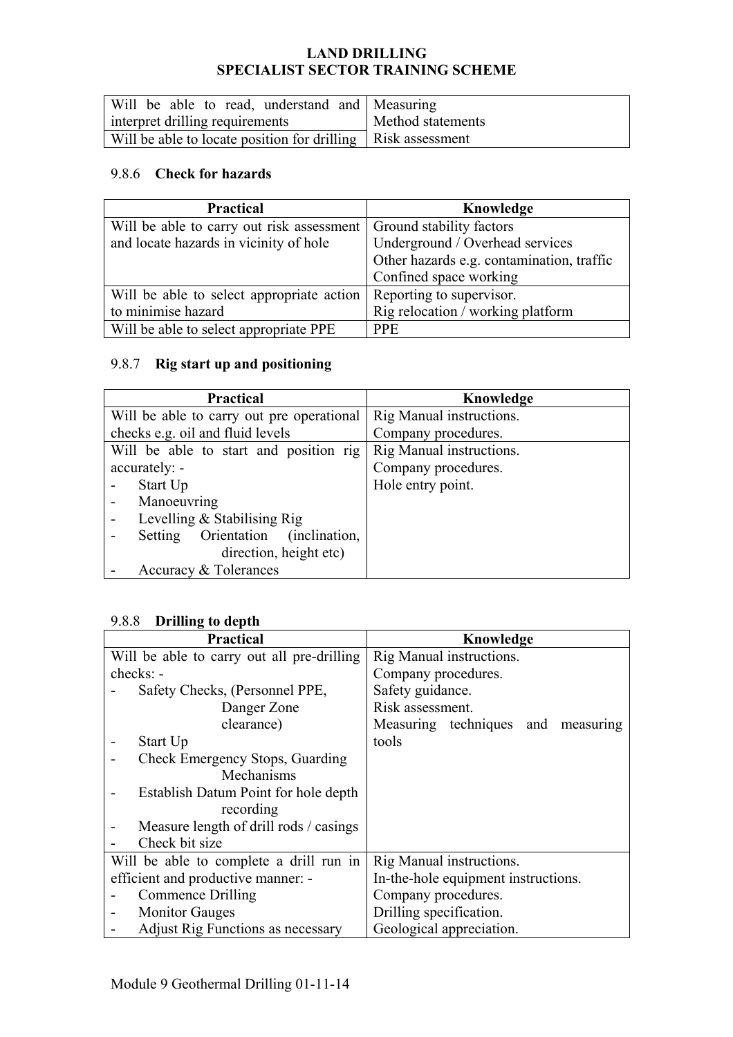| Will be able to read, understand and Measuring                 |                   |
|----------------------------------------------------------------|-------------------|
| interpret drilling requirements                                | Method statements |
| Will be able to locate position for drilling   Risk assessment |                   |

## 9.8.6 **Check for hazards**

| <b>Practical</b>                          | Knowledge                                 |
|-------------------------------------------|-------------------------------------------|
| Will be able to carry out risk assessment | Ground stability factors                  |
| and locate hazards in vicinity of hole    | Underground / Overhead services           |
|                                           | Other hazards e.g. contamination, traffic |
|                                           | Confined space working                    |
| Will be able to select appropriate action | Reporting to supervisor.                  |
| to minimise hazard                        | Rig relocation / working platform         |
| Will be able to select appropriate PPE    | <b>PPE</b>                                |

### 9.8.7 **Rig start up and positioning**

| <b>Practical</b>                          | Knowledge                |
|-------------------------------------------|--------------------------|
| Will be able to carry out pre operational | Rig Manual instructions. |
| checks e.g. oil and fluid levels          | Company procedures.      |
| Will be able to start and position rig    | Rig Manual instructions. |
| accurately: -                             | Company procedures.      |
| Start Up                                  | Hole entry point.        |
| Manoeuvring                               |                          |
| Levelling & Stabilising Rig               |                          |
| Setting Orientation (inclination,         |                          |
| direction, height etc)                    |                          |
| Accuracy & Tolerances                     |                          |

#### 9.8.8 **Drilling to depth**

| <b>Practical</b>                           | Knowledge                           |
|--------------------------------------------|-------------------------------------|
| Will be able to carry out all pre-drilling | Rig Manual instructions.            |
| checks: -                                  | Company procedures.                 |
| Safety Checks, (Personnel PPE,             | Safety guidance.                    |
| Danger Zone                                | Risk assessment.                    |
| clearance)                                 | Measuring techniques and measuring  |
| Start Up                                   | tools                               |
| Check Emergency Stops, Guarding            |                                     |
| Mechanisms                                 |                                     |
| Establish Datum Point for hole depth       |                                     |
| recording                                  |                                     |
| Measure length of drill rods / casings     |                                     |
| Check bit size                             |                                     |
| Will be able to complete a drill run in    | Rig Manual instructions.            |
| efficient and productive manner: -         | In-the-hole equipment instructions. |
| Commence Drilling                          | Company procedures.                 |
| <b>Monitor Gauges</b>                      | Drilling specification.             |
| Adjust Rig Functions as necessary          | Geological appreciation.            |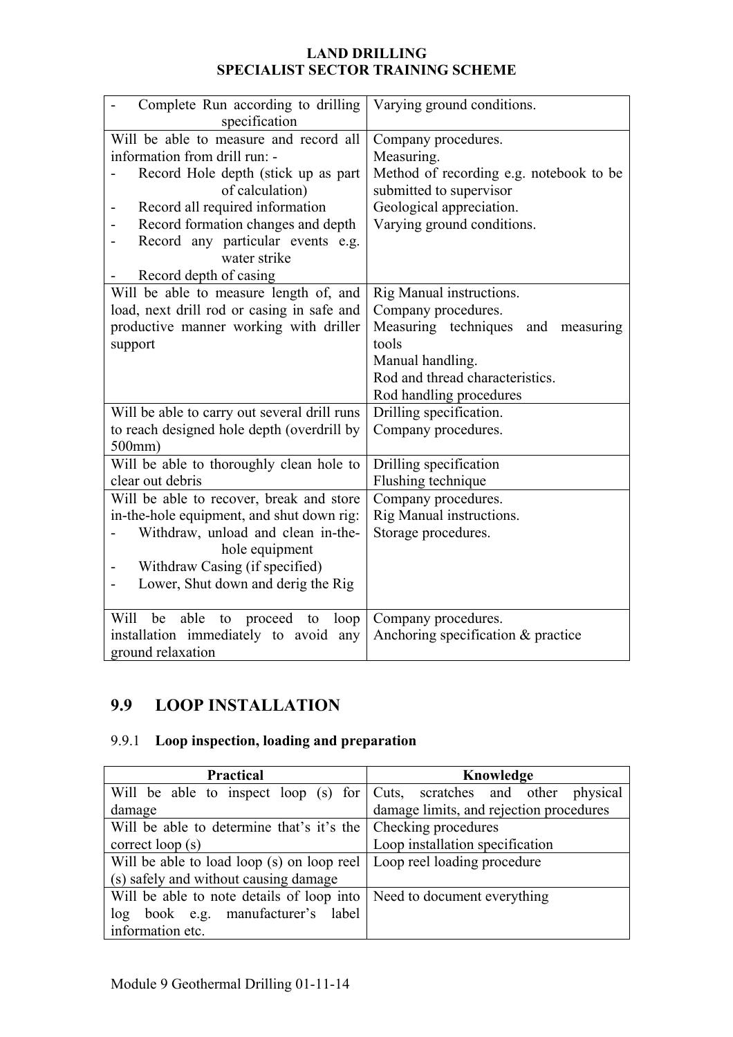| Complete Run according to drilling<br>specification | Varying ground conditions.               |
|-----------------------------------------------------|------------------------------------------|
| Will be able to measure and record all              | Company procedures.                      |
| information from drill run: -                       | Measuring.                               |
| Record Hole depth (stick up as part                 | Method of recording e.g. notebook to be  |
| of calculation)                                     | submitted to supervisor                  |
| Record all required information                     | Geological appreciation.                 |
| Record formation changes and depth                  | Varying ground conditions.               |
| Record any particular events e.g.                   |                                          |
| water strike                                        |                                          |
| Record depth of casing                              |                                          |
| Will be able to measure length of, and              | Rig Manual instructions.                 |
| load, next drill rod or casing in safe and          | Company procedures.                      |
| productive manner working with driller              | Measuring techniques<br>and<br>measuring |
| support                                             | tools                                    |
|                                                     | Manual handling.                         |
|                                                     | Rod and thread characteristics.          |
|                                                     | Rod handling procedures                  |
| Will be able to carry out several drill runs        | Drilling specification.                  |
| to reach designed hole depth (overdrill by          | Company procedures.                      |
| $500$ mm)                                           |                                          |
| Will be able to thoroughly clean hole to            | Drilling specification                   |
| clear out debris                                    | Flushing technique                       |
| Will be able to recover, break and store            | Company procedures.                      |
| in-the-hole equipment, and shut down rig:           | Rig Manual instructions.                 |
| Withdraw, unload and clean in-the-                  | Storage procedures.                      |
| hole equipment                                      |                                          |
| Withdraw Casing (if specified)                      |                                          |
| Lower, Shut down and derig the Rig                  |                                          |
|                                                     |                                          |
| able<br>Will<br>be<br>proceed<br>to<br>to<br>loop   | Company procedures.                      |
| installation immediately to avoid<br>any            | Anchoring specification & practice       |
| ground relaxation                                   |                                          |

## **9.9 LOOP INSTALLATION**

# 9.9.1 **Loop inspection, loading and preparation**

| Practical                                                     | Knowledge                                                               |
|---------------------------------------------------------------|-------------------------------------------------------------------------|
|                                                               | Will be able to inspect loop (s) for Cuts, scratches and other physical |
| damage                                                        | damage limits, and rejection procedures                                 |
| Will be able to determine that's it's the Checking procedures |                                                                         |
| correct loop $(s)$                                            | Loop installation specification                                         |
| Will be able to load loop (s) on loop reel                    | Loop reel loading procedure                                             |
| (s) safely and without causing damage                         |                                                                         |
| Will be able to note details of loop into                     | Need to document everything                                             |
| book e.g. manufacturer's label<br>log                         |                                                                         |
| information etc.                                              |                                                                         |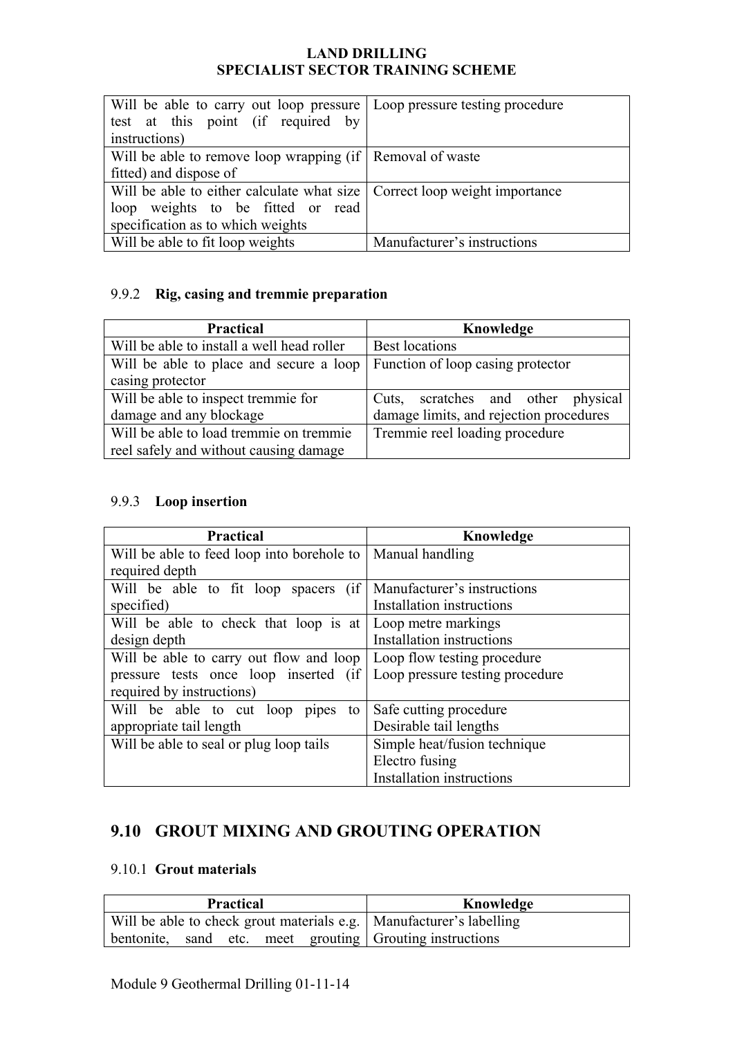| Will be able to carry out loop pressure   Loop pressure testing procedure   |                             |
|-----------------------------------------------------------------------------|-----------------------------|
| test at this point (if required by                                          |                             |
| instructions)                                                               |                             |
| Will be able to remove loop wrapping (if   Removal of waste                 |                             |
| fitted) and dispose of                                                      |                             |
| Will be able to either calculate what size   Correct loop weight importance |                             |
| loop weights to be fitted or read                                           |                             |
| specification as to which weights                                           |                             |
| Will be able to fit loop weights                                            | Manufacturer's instructions |

## 9.9.2 **Rig, casing and tremmie preparation**

| <b>Practical</b>                           | Knowledge                               |
|--------------------------------------------|-----------------------------------------|
| Will be able to install a well head roller | <b>Best locations</b>                   |
| Will be able to place and secure a loop    | Function of loop casing protector       |
| casing protector                           |                                         |
| Will be able to inspect tremmie for        | Cuts, scratches and other physical      |
| damage and any blockage                    | damage limits, and rejection procedures |
| Will be able to load tremmie on tremmie    | Tremmie reel loading procedure          |
| reel safely and without causing damage     |                                         |

### 9.9.3 **Loop insertion**

| <b>Practical</b>                                                      | Knowledge                        |
|-----------------------------------------------------------------------|----------------------------------|
| Will be able to feed loop into borehole to   Manual handling          |                                  |
| required depth                                                        |                                  |
| Will be able to fit loop spacers (if   Manufacturer's instructions    |                                  |
| specified)                                                            | Installation instructions        |
| Will be able to check that loop is at   Loop metre markings           |                                  |
| design depth                                                          | Installation instructions        |
| Will be able to carry out flow and loop   Loop flow testing procedure |                                  |
| pressure tests once loop inserted (if Loop pressure testing procedure |                                  |
| required by instructions)                                             |                                  |
| Will be able to cut loop pipes<br>to                                  | Safe cutting procedure           |
| appropriate tail length                                               | Desirable tail lengths           |
| Will be able to seal or plug loop tails                               | Simple heat/fusion technique     |
|                                                                       | Electro fusing                   |
|                                                                       | <b>Installation instructions</b> |

## **9.10 GROUT MIXING AND GROUTING OPERATION**

#### 9.10.1 **Grout materials**

| <b>Practical</b>                                                      | Knowledge |
|-----------------------------------------------------------------------|-----------|
| Will be able to check grout materials e.g.   Manufacturer's labelling |           |
| bentonite, sand etc. meet grouting Grouting instructions              |           |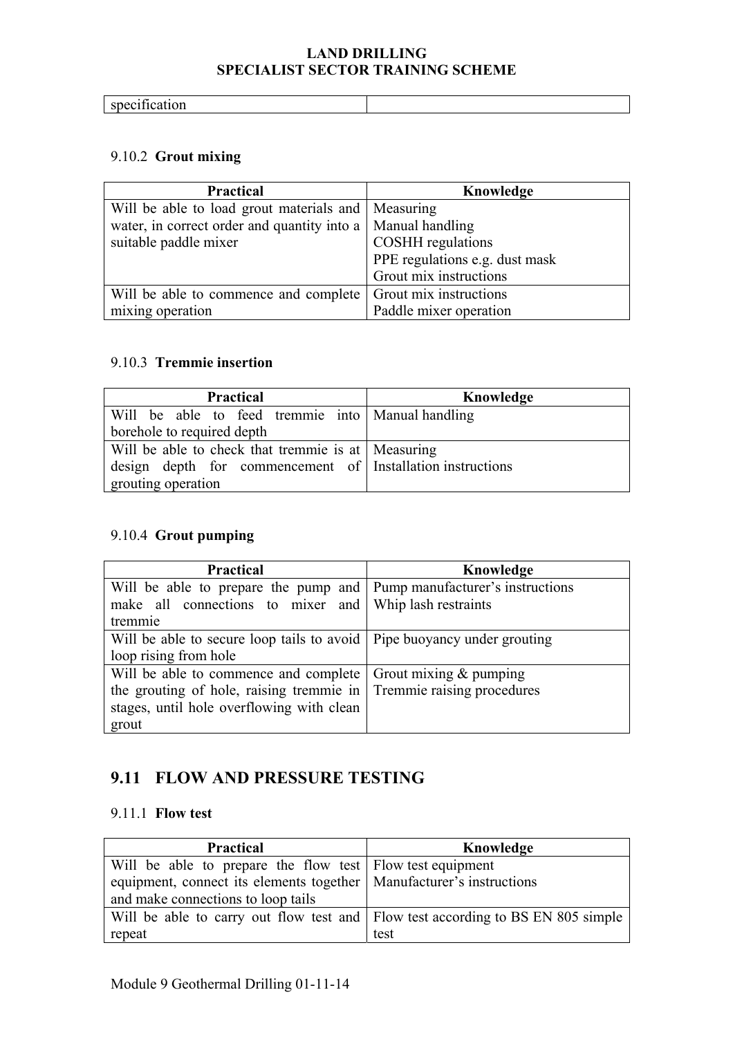| - |  |
|---|--|

### 9.10.2 **Grout mixing**

| <b>Practical</b>                                              | Knowledge                      |
|---------------------------------------------------------------|--------------------------------|
| Will be able to load grout materials and   Measuring          |                                |
| water, in correct order and quantity into a   Manual handling |                                |
| suitable paddle mixer                                         | <b>COSHH</b> regulations       |
|                                                               | PPE regulations e.g. dust mask |
|                                                               | Grout mix instructions         |
| Will be able to commence and complete                         | Grout mix instructions         |
| mixing operation                                              | Paddle mixer operation         |

#### 9.10.3 **Tremmie insertion**

| <b>Practical</b>                                           | Knowledge |
|------------------------------------------------------------|-----------|
| Will be able to feed tremmie into   Manual handling        |           |
| borehole to required depth                                 |           |
| Will be able to check that tremmie is at   Measuring       |           |
| design depth for commencement of Installation instructions |           |
| grouting operation                                         |           |

## 9.10.4 **Grout pumping**

| <b>Practical</b>                                                          | Knowledge |
|---------------------------------------------------------------------------|-----------|
| Will be able to prepare the pump and   Pump manufacturer's instructions   |           |
| make all connections to mixer and Whip lash restraints                    |           |
| tremmie                                                                   |           |
| Will be able to secure loop tails to avoid   Pipe buoyancy under grouting |           |
| loop rising from hole                                                     |           |
| Will be able to commence and complete $\vert$ Grout mixing & pumping      |           |
| the grouting of hole, raising tremmie in Tremmie raising procedures       |           |
| stages, until hole overflowing with clean                                 |           |
| grout                                                                     |           |

## **9.11 FLOW AND PRESSURE TESTING**

#### 9.11.1 **Flow test**

| <b>Practical</b>                                                                | Knowledge |
|---------------------------------------------------------------------------------|-----------|
| Will be able to prepare the flow test Flow test equipment                       |           |
| equipment, connect its elements together   Manufacturer's instructions          |           |
| and make connections to loop tails                                              |           |
| Will be able to carry out flow test and Flow test according to BS EN 805 simple |           |
| repeat                                                                          | test      |